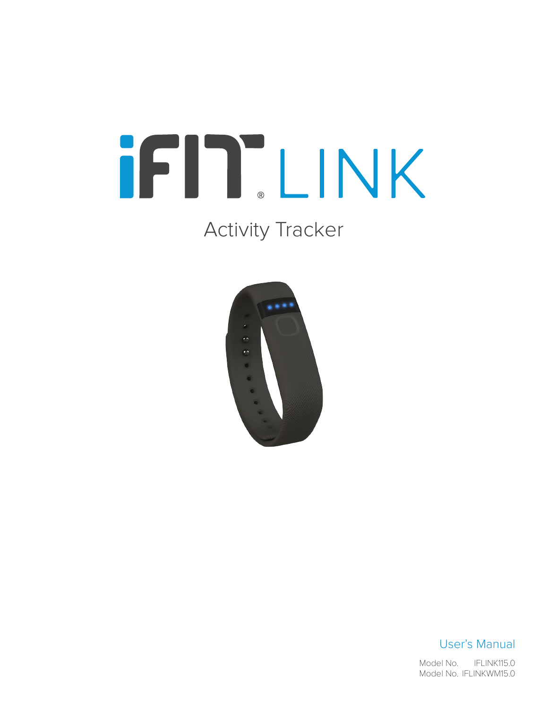# iFIT LINK

# Activity Tracker



# User's Manual

IFLINK115.0 Model No. IFLINKWM15.0 Model No.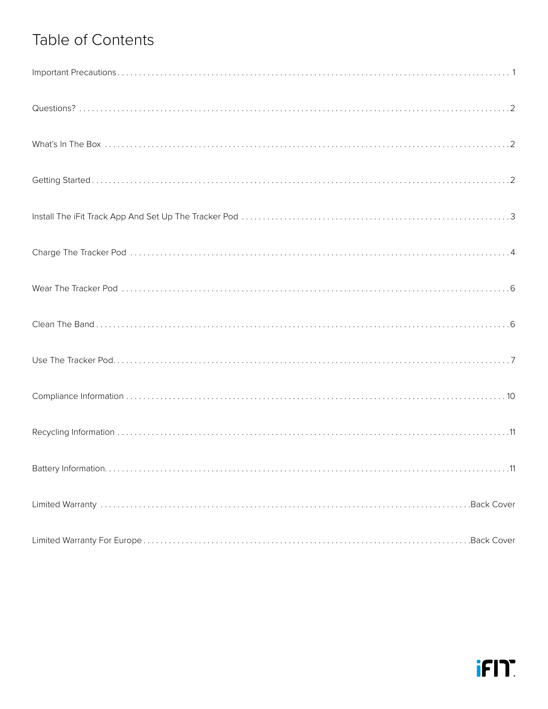# Table of Contents

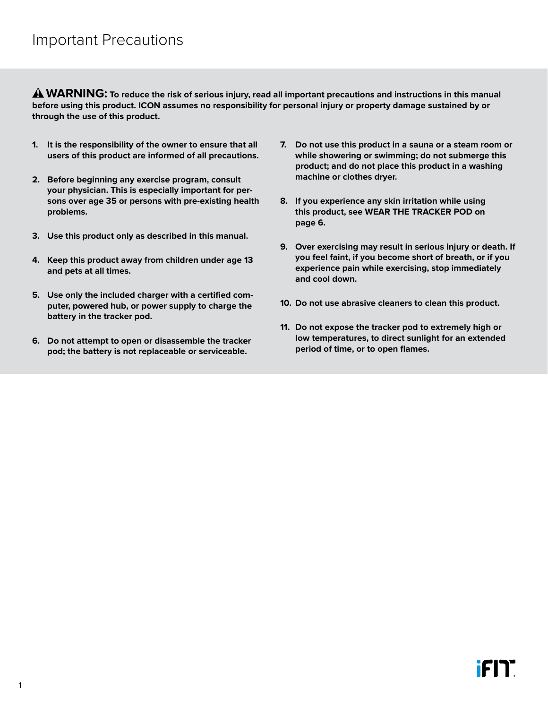<span id="page-2-0"></span> **WARNING: To reduce the risk of serious injury, read all important precautions and instructions in this manual before using this product. ICON assumes no responsibility for personal injury or property damage sustained by or through the use of this product.**

- **1. It is the responsibility of the owner to ensure that all users of this product are informed of all precautions.**
- **2. Before beginning any exercise program, consult your physician. This is especially important for persons over age 35 or persons with pre-existing health problems.**
- **3. Use this product only as described in this manual.**
- **4. Keep this product away from children under age 13 and pets at all times.**
- **5. Use only the included charger with a certified computer, powered hub, or power supply to charge the battery in the tracker pod.**
- **6. Do not attempt to open or disassemble the tracker pod; the battery is not replaceable or serviceable.**
- **7. Do not use this product in a sauna or a steam room or while showering or swimming; do not submerge this product; and do not place this product in a washing machine or clothes dryer.**
- **8. If you experience any skin irritation while using this product, see [WEAR THE TRACKER POD](#page-7-1) on [page 6](#page-7-1).**
- **9. Over exercising may result in serious injury or death. If you feel faint, if you become short of breath, or if you experience pain while exercising, stop immediately and cool down.**
- **10. Do not use abrasive cleaners to clean this product.**
- **11. Do not expose the tracker pod to extremely high or low temperatures, to direct sunlight for an extended period of time, or to open flames.**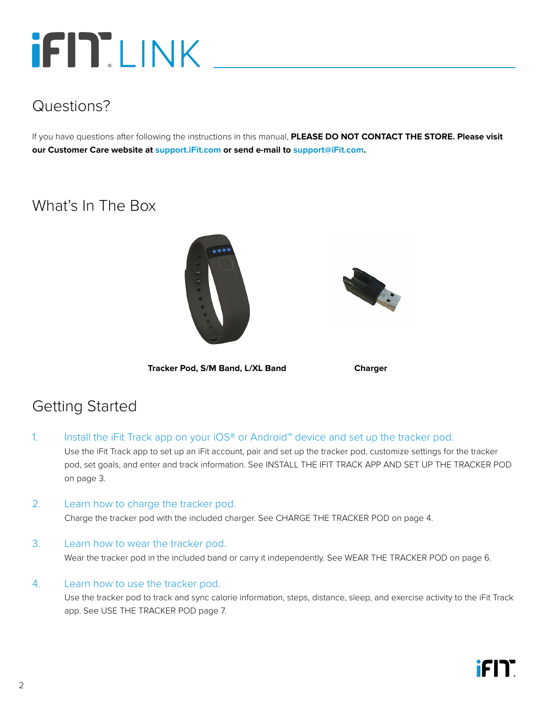# <span id="page-3-0"></span>**IFITEINK**

# Questions?

If you have questions after following the instructions in this manual, **PLEASE DO NOT CONTACT THE STORE. Please visit our Customer Care website at <support.iFit.com> or send e-mail to [support@iFit.com.](mailto:support@iFit.com)**

# What's In The Box





**Tracker Pod, S/M Band, L/XL Band Charger**

# Getting Started

- 1. Install the iFit Track app on your iOS® or Android™ device and set up the tracker pod. Use the iFit Track app to set up an iFit account, pair and set up the tracker pod, customize settings for the tracker pod, set goals, and enter and track information. See [INSTALL THE IFIT TRACK APP AND SET UP THE TRACKER POD](#page-4-1) on [page 3.](#page-4-1)
- 2. Learn how to charge the tracker pod.

Charge the tracker pod with the included charger. See [CHARGE THE TRACKER POD](#page-5-1) on [page 4.](#page-5-1)

#### 3. Learn how to wear the tracker pod.

Wear the tracker pod in the included band or carry it independently. See [WEAR THE TRACKER POD](#page-7-1) on [page 6](#page-7-1).

4. Learn how to use the tracker pod.

 Use the tracker pod to track and sync calorie information, steps, distance, sleep, and exercise activity to the iFit Track app. See [USE THE TRACKER POD page 7.](#page-8-1)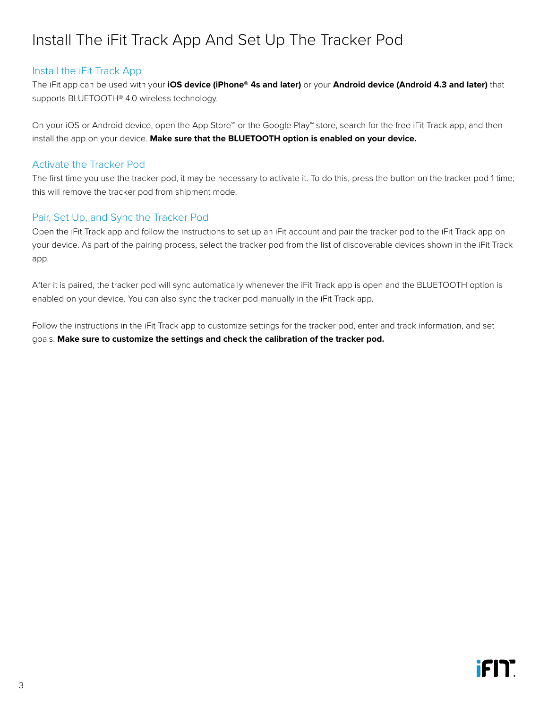# <span id="page-4-1"></span><span id="page-4-0"></span>Install The iFit Track App And Set Up The Tracker Pod

#### Install the iFit Track App

The iFit app can be used with your **iOS device (iPhone® 4s and later)** or your **Android device (Android 4.3 and later)** that supports BLUETOOTH® 4.0 wireless technology.

On your iOS or Android device, open the App Store℠ or the Google Play™ store, search for the free iFit Track app, and then install the app on your device. **Make sure that the BLUETOOTH option is enabled on your device.**

#### Activate the Tracker Pod

The first time you use the tracker pod, it may be necessary to activate it. To do this, press the button on the tracker pod 1 time; this will remove the tracker pod from shipment mode.

#### Pair, Set Up, and Sync the Tracker Pod

Open the iFit Track app and follow the instructions to set up an iFit account and pair the tracker pod to the iFit Track app on your device. As part of the pairing process, select the tracker pod from the list of discoverable devices shown in the iFit Track app.

After it is paired, the tracker pod will sync automatically whenever the iFit Track app is open and the BLUETOOTH option is enabled on your device. You can also sync the tracker pod manually in the iFit Track app.

Follow the instructions in the iFit Track app to customize settings for the tracker pod, enter and track information, and set goals. **Make sure to customize the settings and check the calibration of the tracker pod.**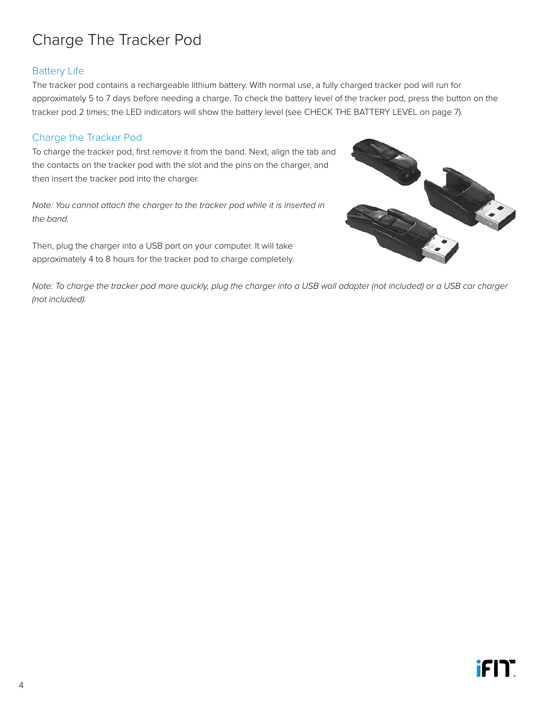# <span id="page-5-1"></span><span id="page-5-0"></span>Charge The Tracker Pod

# Battery Life

The tracker pod contains a rechargeable lithium battery. With normal use, a fully charged tracker pod will run for approximately 5 to 7 days before needing a charge. To check the battery level of the tracker pod, press the button on the tracker pod 2 times; the LED indicators will show the battery level (see [CHECK THE BATTERY LEVEL](#page-8-2) on [page 7\)](#page-8-2).

#### <span id="page-5-2"></span>Charge the Tracker Pod

To charge the tracker pod, first remove it from the band. Next, align the tab and the contacts on the tracker pod with the slot and the pins on the charger, and then insert the tracker pod into the charger.

*Note: You cannot attach the charger to the tracker pod while it is inserted in the band.*

Then, plug the charger into a USB port on your computer. It will take approximately 4 to 8 hours for the tracker pod to charge completely.



*Note: To charge the tracker pod more quickly, plug the charger into a USB wall adapter (not included) or a USB car charger (not included).*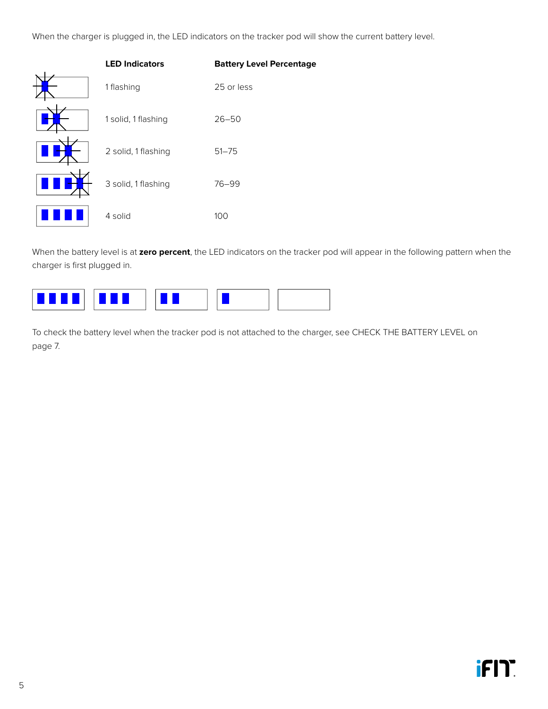When the charger is plugged in, the LED indicators on the tracker pod will show the current battery level.<br>

| <b>LED Indicators</b> | <b>Battery Level Percentage</b> |
|-----------------------|---------------------------------|
| 1 flashing            | 25 or less                      |
| 1 solid, 1 flashing   | $26 - 50$                       |
| 2 solid, 1 flashing   | $51 - 75$                       |
| 3 solid, 1 flashing   | $76 - 99$                       |
| 4 solid               | 100                             |

 $\mathsf{nt}$ , the LED When the battery level is at **zero percent**, the LED indicators on the tracker pod will appear in the following pattern when the charger is first plugged in.



To check the battery level when the tracker pod is not attached to the charger, see [CHECK THE BATTERY LEVEL](#page-8-2) on [page 7.](#page-8-2)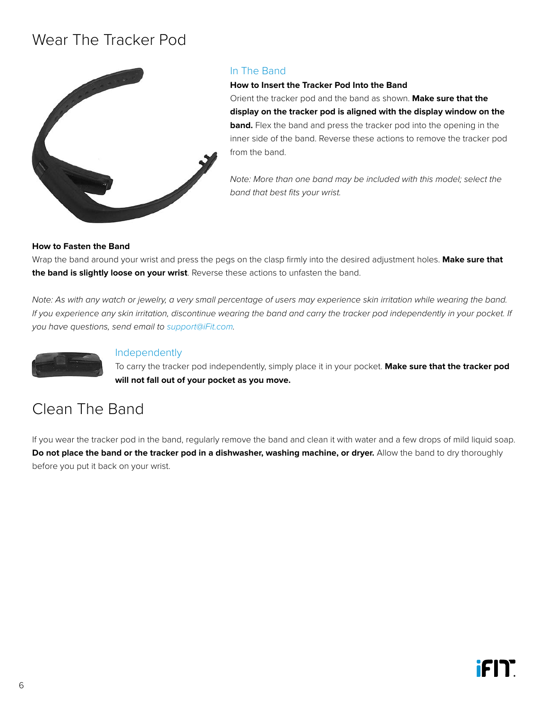# <span id="page-7-1"></span><span id="page-7-0"></span>Wear The Tracker Pod



#### In The Band

**How to Insert the Tracker Pod Into the Band** Orient the tracker pod and the band as shown. **Make sure that the display on the tracker pod is aligned with the display window on the band.** Flex the band and press the tracker pod into the opening in the inner side of the band. Reverse these actions to remove the tracker pod from the band.

*Note: More than one band may be included with this model; select the band that best fits your wrist.*

#### **How to Fasten the Band**

Wrap the band around your wrist and press the pegs on the clasp firmly into the desired adjustment holes. **Make sure that the band is slightly loose on your wrist**. Reverse these actions to unfasten the band.

*Note: As with any watch or jewelry, a very small percentage of users may experience skin irritation while wearing the band.*  If you experience any skin irritation, discontinue wearing the band and carry the tracker pod independently in your pocket. If *you have questions, send email to [support@iFit.com](mailto:support@iFit.com).*



#### Independently

To carry the tracker pod independently, simply place it in your pocket. **Make sure that the tracker pod will not fall out of your pocket as you move.**

# Clean The Band

If you wear the tracker pod in the band, regularly remove the band and clean it with water and a few drops of mild liquid soap. **Do not place the band or the tracker pod in a dishwasher, washing machine, or dryer.** Allow the band to dry thoroughly before you put it back on your wrist.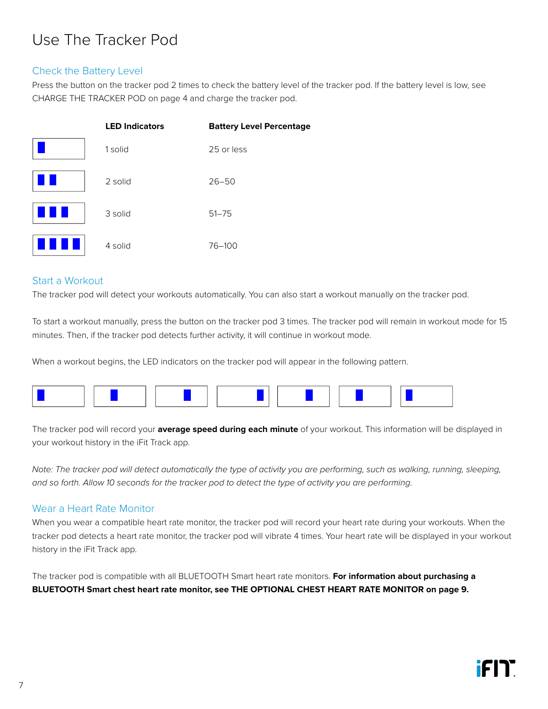# <span id="page-8-1"></span><span id="page-8-0"></span>Use The Tracker Pod

#### <span id="page-8-2"></span>Check the Battery Level

Press the button on the tracker pod 2 times to check the battery level of the tracker pod. If the battery level is low, see [CHARGE THE TRACKER POD](#page-5-2) on [page 4](#page-5-2) and charge the tracker pod.

|      | <b>LED Indicators</b> | <b>Battery Level Percentage</b> |
|------|-----------------------|---------------------------------|
|      | 1 solid               | 25 or less                      |
|      | 2 solid               | $26 - 50$                       |
| a ka | 3 solid               | $51 - 75$                       |
|      | 4 solid               | $76 - 100$                      |

#### Start a Workout

The tracker pod will detect your workouts automatically. You can also start a workout manually on the tracker pod.

Goal Achieved Move Time Goal Achieved Move Time minutes. Then, if the tracker pod detects further activity, it will continue in workout mode. To start a workout manually, press the button on the tracker pod 3 times. The tracker pod will r To start a workout manually, press the button on the tracker pod 3 times. The tracker pod will remain in workout mode for 15

When a workout begins, the LED indicators on the tracker pod will appear in the following pattern.



The tracker pod will record your **average speed during each minute** of your workout. This information will be displayed in your workout history in the iFit Track app.

 $\mathcal{L}$ at the words positive product when when plugged into charger when plugged into percentating, charge, grouping,<br>and so forth. Allow 10 seconds for the tracker pod to detect the type of activity you are performing. *Note: The tracker pod will detect automatically the type of activity you are performing, such as walking, running, sleeping,* 

#### Wear a Heart Rate Monitor

When you wear a compatible heart rate monitor, the tracker pod will record your heart rate during your workouts. When the tracker pod detects a heart rate monitor, the tracker pod will vibrate 4 times. Your heart rate will be displayed in your workout history in the iFit Track app.

The tracker pod is compatible with all BLUETOOTH Smart heart rate monitors. **For information about purchasing a**  Move Time **BLUETOOTH Smart chest heart rate monitor, see [THE OPTIONAL CHEST HEART RATE MONITOR](#page-10-0) on [page 9](#page-10-0).**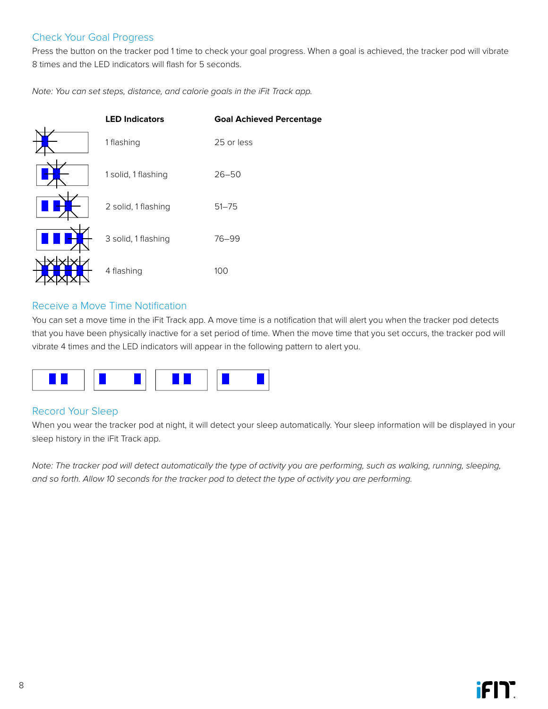# Check Your Goal Progress

Press the button on the tracker pod 1 time to check your goal progress. When a goal is achieved, the tracker pod will vibrate 8 times and the LED indicators will flash for 5 seconds.

Note: You can set steps, distance, and calorie goals in the iFit Track app.<br>

| <b>LED Indicators</b> | <b>Goal Achieved Percentage</b> |
|-----------------------|---------------------------------|
| 1 flashing            | 25 or less                      |
| 1 solid, 1 flashing   | $26 - 50$                       |
| 2 solid, 1 flashing   | $51 - 75$                       |
| 3 solid, 1 flashing   | 76-99                           |
| 4 flashing            | 100                             |

#### Move Time Receive a Move Time Notification

that you have been physically inactive for a set period of time. When the move time that you set occurs, the tracker pod will k app. A mo .<br>You can set a move time in the iFit Track app. A move time is a notification that will alert you when the tracker pod detects vibrate  $4$  times and the LED indicators will appear in the following pattern to alert you.



# Record Your Sleep

When you wear the tracker pod at night, it will detect your sleep automatically. Your sleep information will be displayed in your sleep history in the iFit Track app.

acker pour lo acteur the type of activity you are performing and so forth. Allow 10 seconds for the tracker pod to detect the type of activity you are performing. Note: The tracker pod will detect automatically the type of activity you are performing, such as walking, running, sleeping,<br>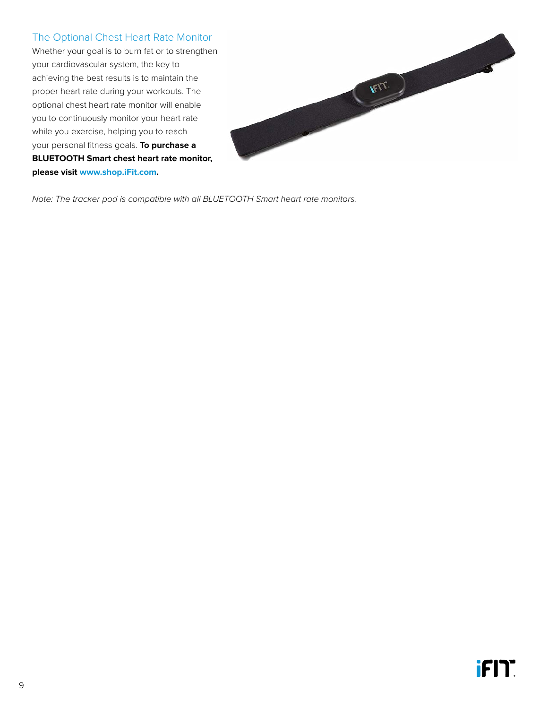# <span id="page-10-0"></span>The Optional Chest Heart Rate Monitor

Whether your goal is to burn fat or to strengthen your cardiovascular system, the key to achieving the best results is to maintain the proper heart rate during your workouts. The optional chest heart rate monitor will enable you to continuously monitor your heart rate while you exercise, helping you to reach your personal fitness goals. **To purchase a BLUETOOTH Smart chest heart rate monitor, please visit www.shop.iFit.com.**



*Note: The tracker pod is compatible with all BLUETOOTH Smart heart rate monitors.*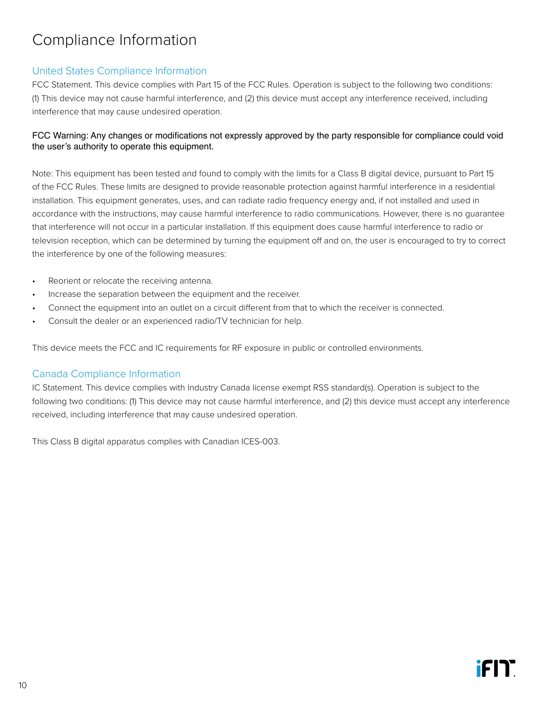# <span id="page-11-0"></span>Compliance Information

### United States Compliance Information

FCC Statement. This device complies with Part 15 of the FCC Rules. Operation is subject to the following two conditions: (1) This device may not cause harmful interference, and (2) this device must accept any interference received, including interference that may cause undesired operation.

#### FCC Warning: Any changes or modifications not expressly approved by the party responsible for compliance could void the user's authority to operate this equipment.

Note: This equipment has been tested and found to comply with the limits for a Class B digital device, pursuant to Part 15 of the FCC Rules. These limits are designed to provide reasonable protection against harmful interference in a residential installation. This equipment generates, uses, and can radiate radio frequency energy and, if not installed and used in accordance with the instructions, may cause harmful interference to radio communications. However, there is no guarantee that interference will not occur in a particular installation. If this equipment does cause harmful interference to radio or television reception, which can be determined by turning the equipment off and on, the user is encouraged to try to correct the interference by one of the following measures:

- Reorient or relocate the receiving antenna.
- Increase the separation between the equipment and the receiver.
- Connect the equipment into an outlet on a circuit different from that to which the receiver is connected.
- Consult the dealer or an experienced radio/TV technician for help.

This device meets the FCC and IC requirements for RF exposure in public or controlled environments.

#### Canada Compliance Information

IC Statement. This device complies with Industry Canada license exempt RSS standard(s). Operation is subject to the following two conditions: (1) This device may not cause harmful interference, and (2) this device must accept any interference received, including interference that may cause undesired operation.

This Class B digital apparatus complies with Canadian ICES-003.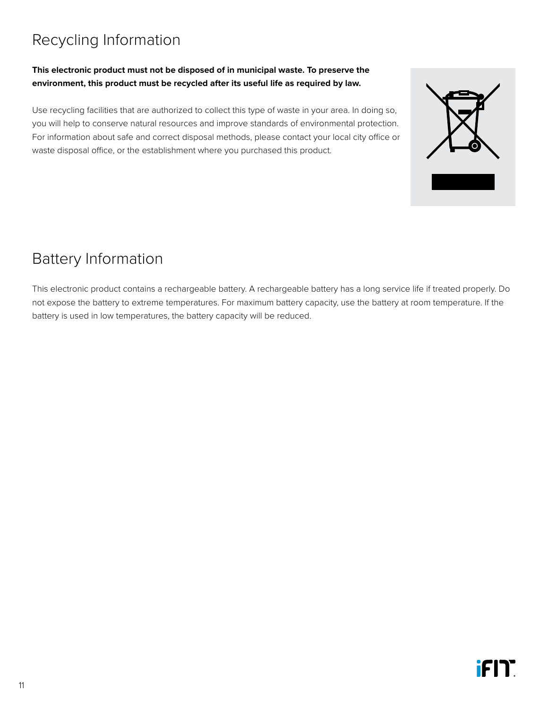# <span id="page-12-0"></span>Recycling Information

#### **This electronic product must not be disposed of in municipal waste. To preserve the environment, this product must be recycled after its useful life as required by law.**

Use recycling facilities that are authorized to collect this type of waste in your area. In doing so, you will help to conserve natural resources and improve standards of environmental protection. For information about safe and correct disposal methods, please contact your local city office or waste disposal office, or the establishment where you purchased this product.

# Battery Information

This electronic product contains a rechargeable battery. A rechargeable battery has a long service life if treated properly. Do not expose the battery to extreme temperatures. For maximum battery capacity, use the battery at room temperature. If the battery is used in low temperatures, the battery capacity will be reduced.